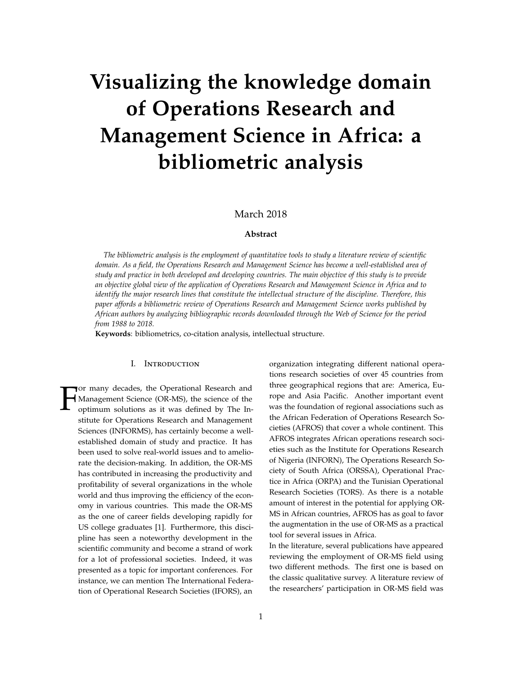# **Visualizing the knowledge domain of Operations Research and Management Science in Africa: a bibliometric analysis**

# March 2018

# **Abstract**

*The bibliometric analysis is the employment of quantitative tools to study a literature review of scientific domain. As a field, the Operations Research and Management Science has become a well-established area of study and practice in both developed and developing countries. The main objective of this study is to provide an objective global view of the application of Operations Research and Management Science in Africa and to identify the major research lines that constitute the intellectual structure of the discipline. Therefore, this paper affords a bibliometric review of Operations Research and Management Science works published by African authors by analyzing bibliographic records downloaded through the Web of Science for the period from 1988 to 2018.*

**Keywords**: bibliometrics, co-citation analysis, intellectual structure.

#### I. Introduction

F or many decades, the Operational Research and Management Science (OR-MS), the science of the optimum solutions as it was defined by The Institute for Operations Research and Management Sciences (INFORMS), has certainly become a wellestablished domain of study and practice. It has been used to solve real-world issues and to ameliorate the decision-making. In addition, the OR-MS has contributed in increasing the productivity and profitability of several organizations in the whole world and thus improving the efficiency of the economy in various countries. This made the OR-MS as the one of career fields developing rapidly for US college graduates [1]. Furthermore, this discipline has seen a noteworthy development in the scientific community and become a strand of work for a lot of professional societies. Indeed, it was presented as a topic for important conferences. For instance, we can mention The International Federation of Operational Research Societies (IFORS), an organization integrating different national operations research societies of over 45 countries from three geographical regions that are: America, Europe and Asia Pacific. Another important event was the foundation of regional associations such as the African Federation of Operations Research Societies (AFROS) that cover a whole continent. This AFROS integrates African operations research societies such as the Institute for Operations Research of Nigeria (INFORN), The Operations Research Society of South Africa (ORSSA), Operational Practice in Africa (ORPA) and the Tunisian Operational Research Societies (TORS). As there is a notable amount of interest in the potential for applying OR-MS in African countries, AFROS has as goal to favor the augmentation in the use of OR-MS as a practical tool for several issues in Africa.

In the literature, several publications have appeared reviewing the employment of OR-MS field using two different methods. The first one is based on the classic qualitative survey. A literature review of the researchers' participation in OR-MS field was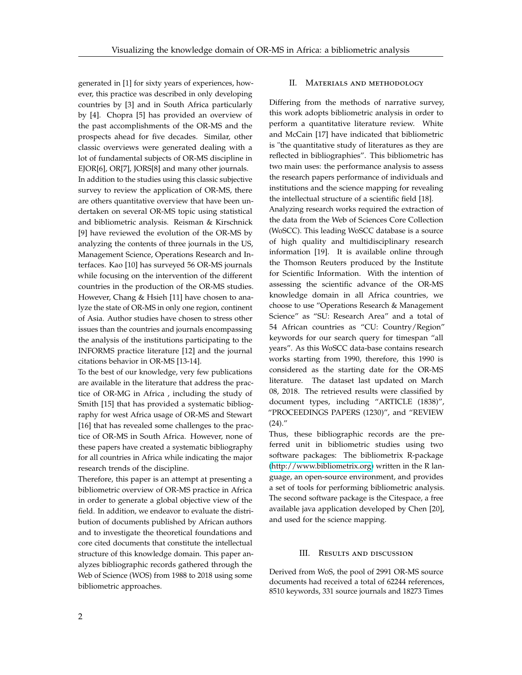generated in [1] for sixty years of experiences, however, this practice was described in only developing countries by [3] and in South Africa particularly by [4]. Chopra [5] has provided an overview of the past accomplishments of the OR-MS and the prospects ahead for five decades. Similar, other classic overviews were generated dealing with a lot of fundamental subjects of OR-MS discipline in EJOR[6], OR[7], JORS[8] and many other journals. In addition to the studies using this classic subjective survey to review the application of OR-MS, there are others quantitative overview that have been undertaken on several OR-MS topic using statistical and bibliometric analysis. Reisman & Kirschnick [9] have reviewed the evolution of the OR-MS by analyzing the contents of three journals in the US, Management Science, Operations Research and Interfaces. Kao [10] has surveyed 56 OR-MS journals while focusing on the intervention of the different countries in the production of the OR-MS studies. However, Chang & Hsieh [11] have chosen to analyze the state of OR-MS in only one region, continent of Asia. Author studies have chosen to stress other issues than the countries and journals encompassing the analysis of the institutions participating to the INFORMS practice literature [12] and the journal citations behavior in OR-MS [13-14].

To the best of our knowledge, very few publications are available in the literature that address the practice of OR-MG in Africa , including the study of Smith [15] that has provided a systematic bibliography for west Africa usage of OR-MS and Stewart [16] that has revealed some challenges to the practice of OR-MS in South Africa. However, none of these papers have created a systematic bibliography for all countries in Africa while indicating the major research trends of the discipline.

Therefore, this paper is an attempt at presenting a bibliometric overview of OR-MS practice in Africa in order to generate a global objective view of the field. In addition, we endeavor to evaluate the distribution of documents published by African authors and to investigate the theoretical foundations and core cited documents that constitute the intellectual structure of this knowledge domain. This paper analyzes bibliographic records gathered through the Web of Science (WOS) from 1988 to 2018 using some bibliometric approaches.

# II. Materials and methodology

Differing from the methods of narrative survey, this work adopts bibliometric analysis in order to perform a quantitative literature review. White and McCain [17] have indicated that bibliometric is "the quantitative study of literatures as they are reflected in bibliographies". This bibliometric has two main uses: the performance analysis to assess the research papers performance of individuals and institutions and the science mapping for revealing the intellectual structure of a scientific field [18]. Analyzing research works required the extraction of the data from the Web of Sciences Core Collection (WoSCC). This leading WoSCC database is a source of high quality and multidisciplinary research information [19]. It is available online through the Thomson Reuters produced by the Institute for Scientific Information. With the intention of assessing the scientific advance of the OR-MS knowledge domain in all Africa countries, we choose to use "Operations Research & Management Science" as "SU: Research Area" and a total of 54 African countries as "CU: Country/Region" keywords for our search query for timespan "all years". As this WoSCC data-base contains research works starting from 1990, therefore, this 1990 is considered as the starting date for the OR-MS literature. The dataset last updated on March 08, 2018. The retrieved results were classified by document types, including "ARTICLE (1838)", "PROCEEDINGS PAPERS (1230)", and "REVIEW  $(24)$ ."

Thus, these bibliographic records are the preferred unit in bibliometric studies using two software packages: The bibliometrix R-package [\(http://www.bibliometrix.org\)](http://www.bibliometrix.org) written in the R language, an open-source environment, and provides a set of tools for performing bibliometric analysis. The second software package is the Citespace, a free available java application developed by Chen [20], and used for the science mapping.

## III. Results and discussion

Derived from WoS, the pool of 2991 OR-MS source documents had received a total of 62244 references, 8510 keywords, 331 source journals and 18273 Times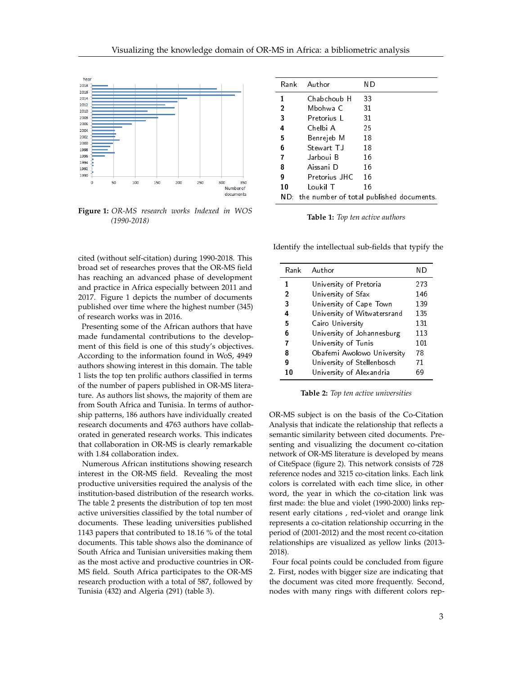

**Figure 1:** *OR-MS research works Indexed in WOS (1990-2018)*

cited (without self-citation) during 1990-2018. This broad set of researches proves that the OR-MS field has reaching an advanced phase of development and practice in Africa especially between 2011 and 2017. Figure 1 depicts the number of documents published over time where the highest number (345) of research works was in 2016.

Presenting some of the African authors that have made fundamental contributions to the development of this field is one of this study's objectives. According to the information found in WoS, 4949 authors showing interest in this domain. The table 1 lists the top ten prolific authors classified in terms of the number of papers published in OR-MS literature. As authors list shows, the majority of them are from South Africa and Tunisia. In terms of authorship patterns, 186 authors have individually created research documents and 4763 authors have collaborated in generated research works. This indicates that collaboration in OR-MS is clearly remarkable with 1.84 collaboration index.

Numerous African institutions showing research interest in the OR-MS field. Revealing the most productive universities required the analysis of the institution-based distribution of the research works. The table 2 presents the distribution of top ten most active universities classified by the total number of documents. These leading universities published 1143 papers that contributed to 18.16 % of the total documents. This table shows also the dominance of South Africa and Tunisian universities making them as the most active and productive countries in OR-MS field. South Africa participates to the OR-MS research production with a total of 587, followed by Tunisia (432) and Algeria (291) (table 3).

| Rank         | Author        | ΝD                                           |
|--------------|---------------|----------------------------------------------|
| 1            | Chabchoub H   | 33                                           |
| $\mathbf{2}$ | Mbohwa C      | 31                                           |
| 3            | Pretorius L   | 31                                           |
| 4            | Chelbi A      | 25                                           |
| 5            | Benrejeb M    | 18                                           |
| 6            | Stewart T.J   | 18                                           |
| 7            | Jarboui B     | 16                                           |
| 8            | Aissani D     | 16                                           |
| 9            | Pretorius JHC | 16                                           |
| 10           | Loukil T      | 16                                           |
|              |               | ND: the number of total published documents. |

**Table 1:** *Top ten active authors*

Identify the intellectual sub-fields that typify the

| Rank         | Author                      | ΝD  |
|--------------|-----------------------------|-----|
| 1            | University of Pretoria      | 273 |
| $\mathbf{2}$ | University of Sfax          | 146 |
| 3            | University of Cape Town     | 139 |
| 4            | University of Witwatersrand | 135 |
| 5            | Cairo University            | 131 |
| 6            | University of Johannesburg  | 113 |
| 7            | University of Tunis         | 101 |
| 8            | Obafemi Awolowo University  | 78  |
| g            | University of Stellenbosch  | 71  |
| 10           | University of Alexandria    | 69  |

#### **Table 2:** *Top ten active universities*

OR-MS subject is on the basis of the Co-Citation Analysis that indicate the relationship that reflects a semantic similarity between cited documents. Presenting and visualizing the document co-citation network of OR-MS literature is developed by means of CiteSpace (figure 2). This network consists of 728 reference nodes and 3215 co-citation links. Each link colors is correlated with each time slice, in other word, the year in which the co-citation link was first made: the blue and violet (1990-2000) links represent early citations , red-violet and orange link represents a co-citation relationship occurring in the period of (2001-2012) and the most recent co-citation relationships are visualized as yellow links (2013- 2018).

Four focal points could be concluded from figure 2. First, nodes with bigger size are indicating that the document was cited more frequently. Second, nodes with many rings with different colors rep-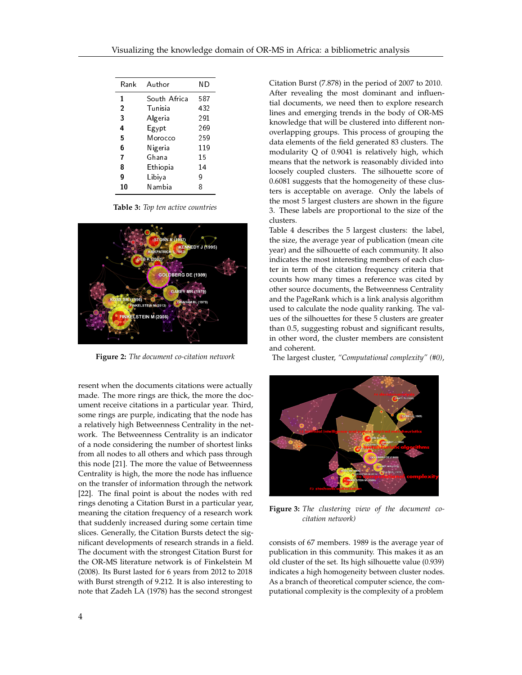| Rank           | Author       | ΝD  |
|----------------|--------------|-----|
| 1              | South Africa |     |
| $\overline{2}$ | Tunisia      | 432 |
| 3              | Algeria      | 291 |
| 4              | Egypt        | 269 |
| 5              | Morocco      | 259 |
| 6              | Nigeria      | 119 |
| 7              | Ghana        | 15  |
| 8              | Ethiopia     | 14  |
| g              | Libiya       |     |
| 10             | Nambia       | 8   |

**Table 3:** *Top ten active countries*



**Figure 2:** *The document co-citation network*

resent when the documents citations were actually made. The more rings are thick, the more the document receive citations in a particular year. Third, some rings are purple, indicating that the node has a relatively high Betweenness Centrality in the network. The Betweenness Centrality is an indicator of a node considering the number of shortest links from all nodes to all others and which pass through this node [21]. The more the value of Betweenness Centrality is high, the more the node has influence on the transfer of information through the network [22]. The final point is about the nodes with red rings denoting a Citation Burst in a particular year, meaning the citation frequency of a research work that suddenly increased during some certain time slices. Generally, the Citation Bursts detect the significant developments of research strands in a field. The document with the strongest Citation Burst for the OR-MS literature network is of Finkelstein M (2008). Its Burst lasted for 6 years from 2012 to 2018 with Burst strength of 9.212. It is also interesting to note that Zadeh LA (1978) has the second strongest

Citation Burst (7.878) in the period of 2007 to 2010. After revealing the most dominant and influential documents, we need then to explore research lines and emerging trends in the body of OR-MS knowledge that will be clustered into different nonoverlapping groups. This process of grouping the data elements of the field generated 83 clusters. The modularity Q of 0.9041 is relatively high, which means that the network is reasonably divided into loosely coupled clusters. The silhouette score of 0.6081 suggests that the homogeneity of these clusters is acceptable on average. Only the labels of the most 5 largest clusters are shown in the figure 3. These labels are proportional to the size of the clusters.

Table 4 describes the 5 largest clusters: the label, the size, the average year of publication (mean cite year) and the silhouette of each community. It also indicates the most interesting members of each cluster in term of the citation frequency criteria that counts how many times a reference was cited by other source documents, the Betweenness Centrality and the PageRank which is a link analysis algorithm used to calculate the node quality ranking. The values of the silhouettes for these 5 clusters are greater than 0.5, suggesting robust and significant results, in other word, the cluster members are consistent and coherent.

The largest cluster, *"Computational complexity" (#0)*,



**Figure 3:** *The clustering view of the document cocitation network)*

consists of 67 members. 1989 is the average year of publication in this community. This makes it as an old cluster of the set. Its high silhouette value (0.939) indicates a high homogeneity between cluster nodes. As a branch of theoretical computer science, the computational complexity is the complexity of a problem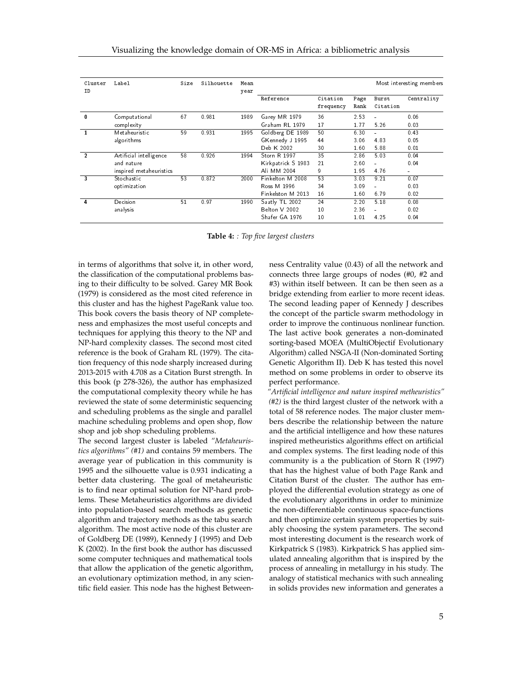| Cluster<br>ID | Label                                                            | Size | Silhouette | Mean<br>year | Most interesting members                             |                       |                      |                          |                      |
|---------------|------------------------------------------------------------------|------|------------|--------------|------------------------------------------------------|-----------------------|----------------------|--------------------------|----------------------|
|               |                                                                  |      |            |              | Reference                                            | Citation<br>frequency | Page<br>Rank         | Burst<br>Citation        | Centrality           |
| 0             | Computational<br>complexity                                      | 67   | 0.981      | 1989         | Garey MR 1979<br>Graham RL 1979                      | 36<br>17              | 2.53<br>1.77         | 5.26                     | 0.06<br>0.03         |
|               | Metaheuristic<br>algorithms                                      | 59   | 0.931      | 1995         | Goldberg DE 1989<br>GKennedy J 1995<br>Deb K 2002    | 50<br>44<br>30        | 6.30<br>3.06<br>1.60 | ÷<br>4.83<br>5.88        | 0.43<br>0.05<br>0.01 |
| 2             | Artificial intelligence<br>and nature<br>inspired metaheuristics | 58   | 0.926      | 1994         | Storn R 1997<br>Kirkpatrick S 1983<br>Ali MM 2004    | 35<br>21<br>9         | 2.86<br>2.60<br>1.95 | 5.03<br>4.76             | 0.04<br>0.04         |
| 3             | Stochastic<br>opti mi zati on                                    | 53   | 0.872      | 2000         | Finkelton M 2008<br>Ross M 1996<br>Finkelston M 2013 | 53<br>34<br>16        | 3.03<br>3.09<br>1.60 | 9.21<br>6.79             | 0.07<br>0.03<br>0.02 |
| 4             | Decision<br>analysis                                             | 51   | 0.97       | 1990         | Saatly TL 2002<br>Belton V 2002<br>Shafer GA 1976    | 24<br>10<br>10        | 2.20<br>2.36<br>1.01 | 5.18<br>$\equiv$<br>4.25 | 0.08<br>0.02<br>0.04 |

**Table 4:** *: Top five largest clusters*

in terms of algorithms that solve it, in other word, the classification of the computational problems basing to their difficulty to be solved. Garey MR Book (1979) is considered as the most cited reference in this cluster and has the highest PageRank value too. This book covers the basis theory of NP completeness and emphasizes the most useful concepts and techniques for applying this theory to the NP and NP-hard complexity classes. The second most cited reference is the book of Graham RL (1979). The citation frequency of this node sharply increased during 2013-2015 with 4.708 as a Citation Burst strength. In this book (p 278-326), the author has emphasized the computational complexity theory while he has reviewed the state of some deterministic sequencing and scheduling problems as the single and parallel machine scheduling problems and open shop, flow shop and job shop scheduling problems.

The second largest cluster is labeled *"Metaheuristics algorithms" (#1)* and contains 59 members. The average year of publication in this community is 1995 and the silhouette value is 0.931 indicating a better data clustering. The goal of metaheuristic is to find near optimal solution for NP-hard problems. These Metaheuristics algorithms are divided into population-based search methods as genetic algorithm and trajectory methods as the tabu search algorithm. The most active node of this cluster are of Goldberg DE (1989), Kennedy J (1995) and Deb K (2002). In the first book the author has discussed some computer techniques and mathematical tools that allow the application of the genetic algorithm, an evolutionary optimization method, in any scientific field easier. This node has the highest Betweenness Centrality value (0.43) of all the network and connects three large groups of nodes (#0, #2 and #3) within itself between. It can be then seen as a bridge extending from earlier to more recent ideas. The second leading paper of Kennedy J describes the concept of the particle swarm methodology in order to improve the continuous nonlinear function. The last active book generates a non-dominated sorting-based MOEA (MultiObjectif Evolutionary Algorithm) called NSGA-II (Non-dominated Sorting Genetic Algorithm II). Deb K has tested this novel method on some problems in order to observe its perfect performance.

*"Artificial intelligence and nature inspired metheuristics" (#2)* is the third largest cluster of the network with a total of 58 reference nodes. The major cluster members describe the relationship between the nature and the artificial intelligence and how these natures inspired metheuristics algorithms effect on artificial and complex systems. The first leading node of this community is a the publication of Storn R (1997) that has the highest value of both Page Rank and Citation Burst of the cluster. The author has employed the differential evolution strategy as one of the evolutionary algorithms in order to minimize the non-differentiable continuous space-functions and then optimize certain system properties by suitably choosing the system parameters. The second most interesting document is the research work of Kirkpatrick S (1983). Kirkpatrick S has applied simulated annealing algorithm that is inspired by the process of annealing in metallurgy in his study. The analogy of statistical mechanics with such annealing in solids provides new information and generates a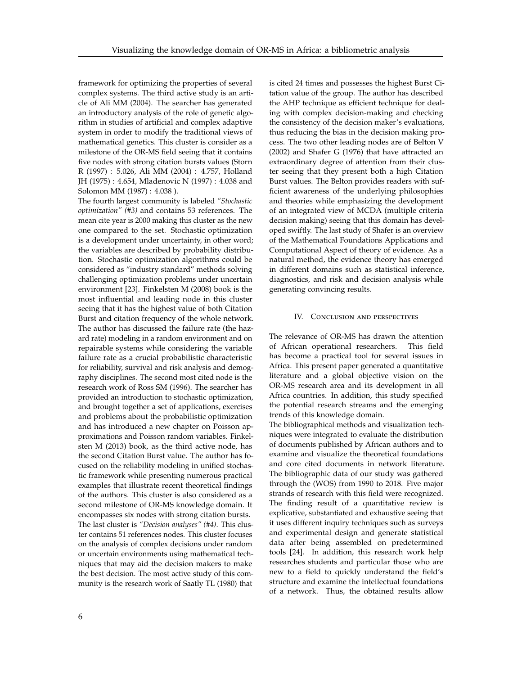framework for optimizing the properties of several complex systems. The third active study is an article of Ali MM (2004). The searcher has generated an introductory analysis of the role of genetic algorithm in studies of artificial and complex adaptive system in order to modify the traditional views of mathematical genetics. This cluster is consider as a milestone of the OR-MS field seeing that it contains five nodes with strong citation bursts values (Storn R (1997) : 5.026, Ali MM (2004) : 4.757, Holland JH (1975) : 4.654, Mladenovic N (1997) : 4.038 and Solomon MM (1987) : 4.038 ).

The fourth largest community is labeled *"Stochastic optimization" (#3)* and contains 53 references. The mean cite year is 2000 making this cluster as the new one compared to the set. Stochastic optimization is a development under uncertainty, in other word; the variables are described by probability distribution. Stochastic optimization algorithms could be considered as "industry standard" methods solving challenging optimization problems under uncertain environment [23]. Finkelsten M (2008) book is the most influential and leading node in this cluster seeing that it has the highest value of both Citation Burst and citation frequency of the whole network. The author has discussed the failure rate (the hazard rate) modeling in a random environment and on repairable systems while considering the variable failure rate as a crucial probabilistic characteristic for reliability, survival and risk analysis and demography disciplines. The second most cited node is the research work of Ross SM (1996). The searcher has provided an introduction to stochastic optimization, and brought together a set of applications, exercises and problems about the probabilistic optimization and has introduced a new chapter on Poisson approximations and Poisson random variables. Finkelsten M (2013) book, as the third active node, has the second Citation Burst value. The author has focused on the reliability modeling in unified stochastic framework while presenting numerous practical examples that illustrate recent theoretical findings of the authors. This cluster is also considered as a second milestone of OR-MS knowledge domain. It encompasses six nodes with strong citation bursts. The last cluster is *"Decision analyses" (#4)*. This cluster contains 51 references nodes. This cluster focuses on the analysis of complex decisions under random or uncertain environments using mathematical techniques that may aid the decision makers to make the best decision. The most active study of this community is the research work of Saatly TL (1980) that is cited 24 times and possesses the highest Burst Citation value of the group. The author has described the AHP technique as efficient technique for dealing with complex decision-making and checking the consistency of the decision maker's evaluations, thus reducing the bias in the decision making process. The two other leading nodes are of Belton V (2002) and Shafer G (1976) that have attracted an extraordinary degree of attention from their cluster seeing that they present both a high Citation Burst values. The Belton provides readers with sufficient awareness of the underlying philosophies and theories while emphasizing the development of an integrated view of MCDA (multiple criteria decision making) seeing that this domain has developed swiftly. The last study of Shafer is an overview of the Mathematical Foundations Applications and Computational Aspect of theory of evidence. As a natural method, the evidence theory has emerged in different domains such as statistical inference, diagnostics, and risk and decision analysis while generating convincing results.

#### IV. Conclusion and perspectives

The relevance of OR-MS has drawn the attention of African operational researchers. This field has become a practical tool for several issues in Africa. This present paper generated a quantitative literature and a global objective vision on the OR-MS research area and its development in all Africa countries. In addition, this study specified the potential research streams and the emerging trends of this knowledge domain.

The bibliographical methods and visualization techniques were integrated to evaluate the distribution of documents published by African authors and to examine and visualize the theoretical foundations and core cited documents in network literature. The bibliographic data of our study was gathered through the (WOS) from 1990 to 2018. Five major strands of research with this field were recognized. The finding result of a quantitative review is explicative, substantiated and exhaustive seeing that it uses different inquiry techniques such as surveys and experimental design and generate statistical data after being assembled on predetermined tools [24]. In addition, this research work help researches students and particular those who are new to a field to quickly understand the field's structure and examine the intellectual foundations of a network. Thus, the obtained results allow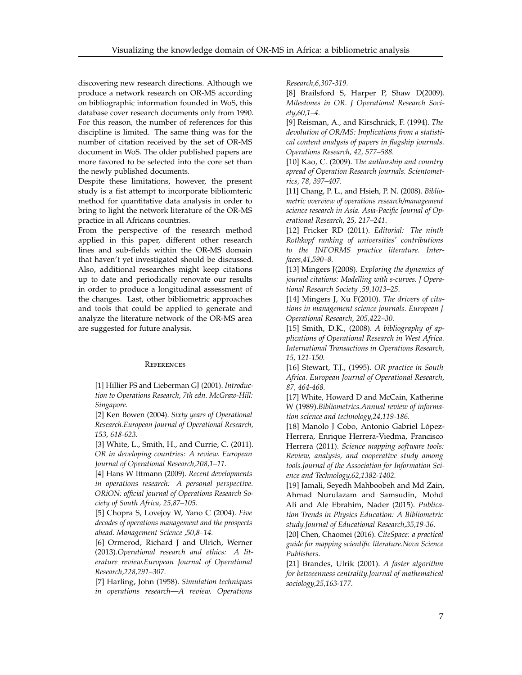discovering new research directions. Although we produce a network research on OR-MS according on bibliographic information founded in WoS, this database cover research documents only from 1990. For this reason, the number of references for this discipline is limited. The same thing was for the number of citation received by the set of OR-MS document in WoS. The older published papers are more favored to be selected into the core set than the newly published documents.

Despite these limitations, however, the present study is a fist attempt to incorporate bibliomteric method for quantitative data analysis in order to bring to light the network literature of the OR-MS practice in all Africans countries.

From the perspective of the research method applied in this paper, different other research lines and sub-fields within the OR-MS domain that haven't yet investigated should be discussed. Also, additional researches might keep citations up to date and periodically renovate our results in order to produce a longitudinal assessment of the changes. Last, other bibliometric approaches and tools that could be applied to generate and analyze the literature network of the OR-MS area are suggested for future analysis.

#### **REFERENCES**

[1] Hillier FS and Lieberman GJ (2001). *Introduction to Operations Research, 7th edn. McGraw-Hill: Singapore.*

[2] Ken Bowen (2004). *Sixty years of Operational Research.European Journal of Operational Research, 153, 618-623.*

[3] White, L., Smith, H., and Currie, C. (2011). *OR in developing countries: A review. European Journal of Operational Research,208,1–11.*

[4] Hans W Ittmann (2009). *Recent developments in operations research: A personal perspective. ORiON: official journal of Operations Research Society of South Africa, 25,87–105.*

[5] Chopra S, Lovejoy W, Yano C (2004). *Five decades of operations management and the prospects ahead. Management Science ,50,8–14.*

[6] Ormerod, Richard J and Ulrich, Werner (2013).*Operational research and ethics: A literature review.European Journal of Operational Research,228,291–307.*

[7] Harling, John (1958). *Simulation techniques in operations research—A review. Operations* *Research,6,307-319.*

[8] Brailsford S, Harper P, Shaw D(2009). *Milestones in OR. J Operational Research Society,60,1–4.*

[9] Reisman, A., and Kirschnick, F. (1994). *The devolution of OR/MS: Implications from a statistical content analysis of papers in flagship journals. Operations Research, 42, 577–588.*

[10] Kao, C. (2009). T*he authorship and country spread of Operation Research journals. Scientometrics, 78, 397–407.*

[11] Chang, P. L., and Hsieh, P. N. (2008). *Bibliometric overview of operations research/management science research in Asia. Asia-Pacific Journal of Operational Research, 25, 217–241*.

[12] Fricker RD (2011). *Editorial: The ninth Rothkopf ranking of universities' contributions to the INFORMS practice literature. Interfaces,41,590–8.*

[13] Mingers J(2008). *Exploring the dynamics of journal citations: Modelling with s-curves. J Operational Research Society ,59,1013–25*.

[14] Mingers J, Xu F(2010). *The drivers of citations in management science journals. European J Operational Research, 205,422–30.*

[15] Smith, D.K., (2008). *A bibliography of applications of Operational Research in West Africa. International Transactions in Operations Research, 15, 121-150.*

[16] Stewart, T.J., (1995). *OR practice in South Africa. European Journal of Operational Research, 87, 464-468.*

[17] White, Howard D and McCain, Katherine W (1989).*Bibliometrics.Annual review of information science and technology,24,119-186.*

[18] Manolo J Cobo, Antonio Gabriel López-Herrera, Enrique Herrera-Viedma, Francisco Herrera (2011). *Science mapping software tools: Review, analysis, and cooperative study among tools.Journal of the Association for Information Science and Technology,62,1382-1402.*

[19] Jamali, Seyedh Mahboobeh and Md Zain, Ahmad Nurulazam and Samsudin, Mohd Ali and Ale Ebrahim, Nader (2015). *Publication Trends in Physics Education: A Bibliometric study.Journal of Educational Research,35,19-36.*

[20] Chen, Chaomei (2016). *CiteSpace: a practical guide for mapping scientific literature.Nova Science Publishers.*

[21] Brandes, Ulrik (2001). *A faster algorithm for betweenness centrality.Journal of mathematical sociology,25,163-177.*